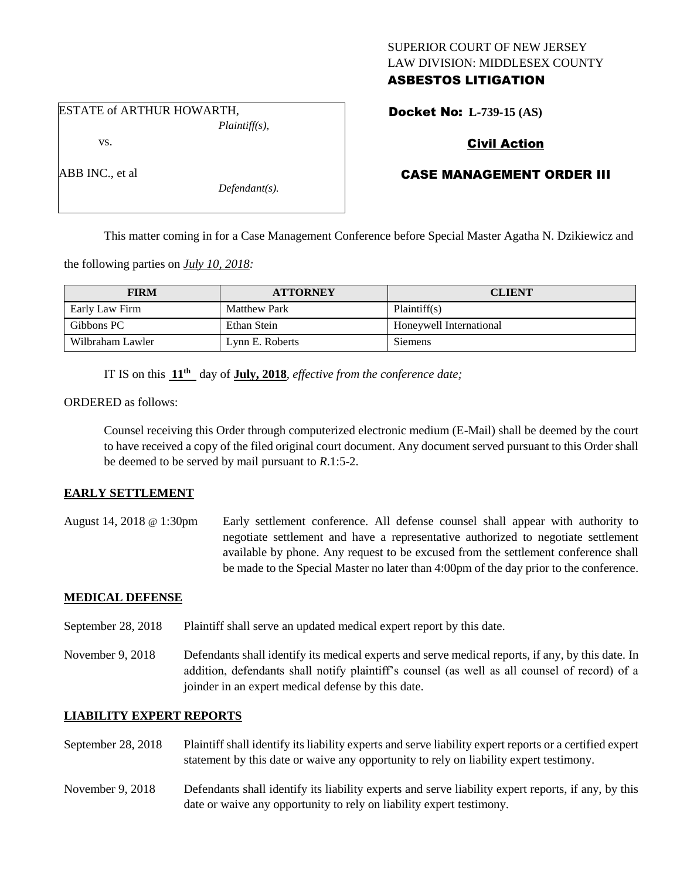## SUPERIOR COURT OF NEW JERSEY LAW DIVISION: MIDDLESEX COUNTY ASBESTOS LITIGATION

ESTATE of ARTHUR HOWARTH, *Plaintiff(s),*

vs.

ABB INC., et al

Docket No: **L-739-15 (AS)** 

# Civil Action

# CASE MANAGEMENT ORDER III

This matter coming in for a Case Management Conference before Special Master Agatha N. Dzikiewicz and

the following parties on *July 10, 2018:*

| <b>FIRM</b>      | <b>ATTORNEY</b>     | <b>CLIENT</b>           |
|------------------|---------------------|-------------------------|
| Early Law Firm   | <b>Matthew Park</b> | Plaintiff(s)            |
| Gibbons PC       | Ethan Stein         | Honeywell International |
| Wilbraham Lawler | Lynn E. Roberts     | Siemens                 |

IT IS on this **11th** day of **July, 2018**, *effective from the conference date;*

*Defendant(s).*

ORDERED as follows:

Counsel receiving this Order through computerized electronic medium (E-Mail) shall be deemed by the court to have received a copy of the filed original court document. Any document served pursuant to this Order shall be deemed to be served by mail pursuant to *R*.1:5-2.

#### **EARLY SETTLEMENT**

August 14, 2018 @ 1:30pm Early settlement conference. All defense counsel shall appear with authority to negotiate settlement and have a representative authorized to negotiate settlement available by phone. Any request to be excused from the settlement conference shall be made to the Special Master no later than 4:00pm of the day prior to the conference.

#### **MEDICAL DEFENSE**

- September 28, 2018 Plaintiff shall serve an updated medical expert report by this date.
- November 9, 2018 Defendants shall identify its medical experts and serve medical reports, if any, by this date. In addition, defendants shall notify plaintiff's counsel (as well as all counsel of record) of a joinder in an expert medical defense by this date.

#### **LIABILITY EXPERT REPORTS**

- September 28, 2018 Plaintiff shall identify its liability experts and serve liability expert reports or a certified expert statement by this date or waive any opportunity to rely on liability expert testimony.
- November 9, 2018 Defendants shall identify its liability experts and serve liability expert reports, if any, by this date or waive any opportunity to rely on liability expert testimony.